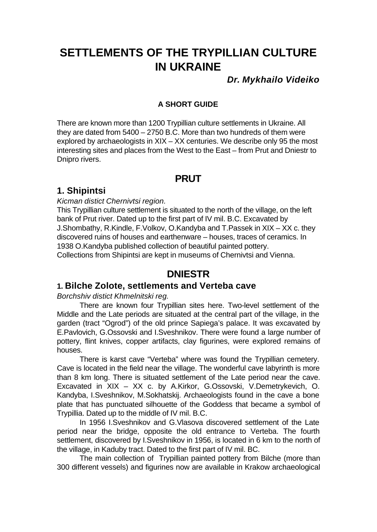# **SETTLEMENTS OF THE TRYPILLIAN CULTURE IN UKRAINE**

*Dr. Mykhailo Videiko*

#### **A SHORT GUIDE**

There are known more than 1200 Trypillian culture settlements in Ukraine. All they are dated from 5400 – 2750 B.C. More than two hundreds of them were explored by archaeologists in XIX – XX centuries. We describe only 95 the most interesting sites and places from the West to the East – from Prut and Dniestr to Dnipro rivers.

## **PRUT**

## **1. Shipintsi**

#### *Kicman distict Chernivtsi region.*

This Trypillian culture settlement is situated to the north of the village, on the left bank of Prut river. Dated up to the first part of IV mil. B.C. Excavated by J.Shombathy, R.Kindle, F.Volkov, O.Kandyba and T.Passek in XIX – XX c. they discovered ruins of houses and earthenware – houses, traces of ceramics. In 1938 O.Kandyba published collection of beautiful painted pottery. Collections from Shipintsi are kept in museums of Chernivtsi and Vienna.

## **DNIESTR**

## **1. Bilche Zolote, settlements and Verteba cave**

#### *Borchshiv distict Khmelnitski reg.*

There are known four Trypillian sites here. Two-level settlement of the Middle and the Late periods are situated at the central part of the village, in the garden (tract "Ogrod") of the old prince Sapiega's palace. It was excavated by E.Pavlovich, G.Ossovski and I.Sveshnikov. There were found a large number of pottery, flint knives, copper artifacts, clay figurines, were explored remains of houses.

There is karst cave "Verteba" where was found the Trypillian cemetery. Cave is located in the field near the village. The wonderful cave labyrinth is more than 8 km long. There is situated settlement of the Late period near the cave. Excavated in XIX – XX c. by A.Kirkor, G.Ossovski, V.Demetrykevich, O. Kandyba, I.Sveshnikov, M.Sokhatskij. Archaeologists found in the cave a bone plate that has punctuated silhouette of the Goddess that became a symbol of Trypillia. Dated up to the middle of IV mil. B.C.

In 1956 I.Sveshnikov and G.Vlasova discovered settlement of the Late period near the bridge, opposite the old entrance to Verteba. The fourth settlement, discovered by I.Sveshnikov in 1956, is located in 6 km to the north of the village, in Kaduby tract. Dated to the first part of IV mil. BC.

The main collection of Trypillian painted pottery from Bilche (more than 300 different vessels) and figurines now are available in Krakow archaeological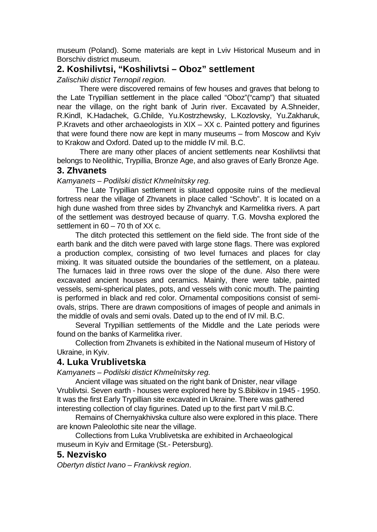museum (Poland). Some materials are kept in Lviv Historical Museum and in Borschiv district museum.

## **2. Koshilivtsi, "Koshilivtsi – Oboz" settlement**

*Zalischiki distict Ternopil region.*

There were discovered remains of few houses and graves that belong to the Late Trypillian settlement in the place called "Oboz"("camp") that situated near the village, on the right bank of Jurin river. Excavated by A.Shneider, R.Kindl, K.Hadachek, G.Childe, Yu.Kostrzhewsky, L.Kozlovsky, Yu.Zakharuk, P.Kravets and other archaeologists in XIX – XX c. Painted pottery and figurines that were found there now are kept in many museums – from Moscow and Kyiv to Krakow and Oxford. Dated up to the middle IV mil. B.C.

There are many other places of ancient settlements near Koshilivtsi that belongs to Neolithic, Trypillia, Bronze Age, and also graves of Early Bronze Age.

#### **3. Zhvanets**

*Kamyanets – Podilski distict Khmelnitsky reg.*

The Late Trypillian settlement is situated opposite ruins of the medieval fortress near the village of Zhvanets in place called "Schovb". It is located on a high dune washed from three sides by Zhvanchyk and Karmelitka rivers. A part of the settlement was destroyed because of quarry. T.G. Movsha explored the settlement in 60 – 70 th of XX c.

The ditch protected this settlement on the field side. The front side of the earth bank and the ditch were paved with large stone flags. There was explored a production complex, consisting of two level furnaces and places for clay mixing. It was situated outside the boundaries of the settlement, on a plateau. The furnaces laid in three rows over the slope of the dune. Also there were excavated ancient houses and ceramics. Mainly, there were table, painted vessels, semi-spherical plates, pots, and vessels with conic mouth. The painting is performed in black and red color. Ornamental compositions consist of semiovals, strips. There are drawn compositions of images of people and animals in the middle of ovals and semi ovals. Dated up to the end of IV mil. B.C.

Several Trypillian settlements of the Middle and the Late periods were found on the banks of Karmelitka river.

Collection from Zhvanets is exhibited in the National museum of History of Ukraine, in Kyiv.

#### **4. Luka Vrublivetska**

*Kamyanets – Podilski distict Khmelnitsky reg.*

Ancient village was situated on the right bank of Dnister, near village Vrublivtsi. Seven earth - houses were explored here by S.Bibikov in 1945 - 1950. It was the first Early Trypillian site excavated in Ukraine. There was gathered interesting collection of clay figurines. Dated up to the first part V mil.B.C.

Remains of Chernyakhivska culture also were explored in this place. There are known Paleolothic site near the village.

Collections from Luka Vrublivetska are exhibited in Archaeological museum in Kyiv and Ermitage (St.- Petersburg).

#### **5. Nezvisko**

*Obertyn distict Ivano – Frankivsk region*.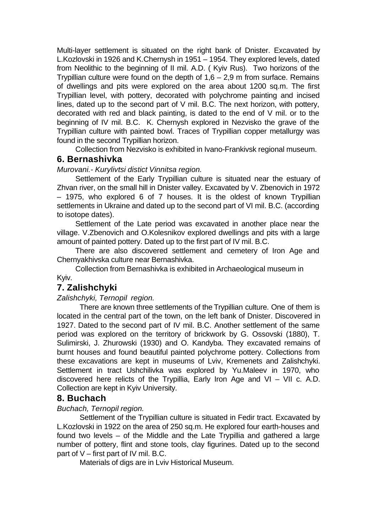Multi-layer settlement is situated on the right bank of Dnister. Excavated by L.Kozlovski in 1926 and K.Chernysh in 1951 – 1954. They explored levels, dated from Neolithic to the beginning of II mil. A.D. ( Kyiv Rus). Two horizons of the Trypillian culture were found on the depth of  $1,6 - 2,9$  m from surface. Remains of dwellings and pits were explored on the area about 1200 sq.m. The first Trypillian level, with pottery, decorated with polychrome painting and incised lines, dated up to the second part of V mil. B.C. The next horizon, with pottery, decorated with red and black painting, is dated to the end of V mil. or to the beginning of IV mil. B.C. K. Chernysh explored in Nezvisko the grave of the Trypillian culture with painted bowl. Traces of Trypillian copper metallurgy was found in the second Trypillian horizon.

Collection from Nezvisko is exhibited in Ivano-Frankivsk regional museum.

## **6. Bernashivka**

*Murovani.- Kurylivtsi distict Vinnitsa region.*

Settlement of the Early Trypillian culture is situated near the estuary of Zhvan river, on the small hill in Dnister valley. Excavated by V. Zbenovich in 1972 – 1975, who explored 6 of 7 houses. It is the oldest of known Trypillian settlements in Ukraine and dated up to the second part of VI mil. B.C. (according to isotope dates).

Settlement of the Late period was excavated in another place near the village. V.Zbenovich and O.Kolesnikov explored dwellings and pits with a large amount of painted pottery. Dated up to the first part of IV mil. B.C.

There are also discovered settlement and cemetery of Iron Age and Chernyakhivska culture near Bernashivka.

Collection from Bernashivka is exhibited in Archaeological museum in Kyiv.

## **7. Zalishchyki**

*Zalishchyki, Ternopil region.*

There are known three settlements of the Trypillian culture. One of them is located in the central part of the town, on the left bank of Dnister. Discovered in 1927. Dated to the second part of IV mil. B.C. Another settlement of the same period was explored on the territory of brickwork by G. Ossovski (1880), T. Sulimirski, J. Zhurowski (1930) and O. Kandyba. They excavated remains of burnt houses and found beautiful painted polychrome pottery. Collections from these excavations are kept in museums of Lviv, Kremenets and Zalishchyki. Settlement in tract Ushchilivka was explored by Yu.Maleev in 1970, who discovered here relicts of the Trypillia, Early Iron Age and VI – VII c. A.D. Collection are kept in Kyiv University.

#### **8. Buchach**

#### *Buchach, Ternopil region.*

Settlement of the Trypillian culture is situated in Fedir tract. Excavated by L.Kozlovski in 1922 on the area of 250 sq.m. He explored four earth-houses and found two levels – of the Middle and the Late Trypillia and gathered a large number of pottery, flint and stone tools, clay figurines. Dated up to the second part of V – first part of IV mil. B.C.

Materials of digs are in Lviv Historical Museum.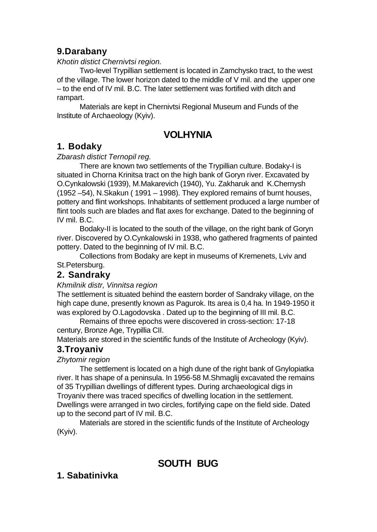## **9.Darabany**

#### *Khotin distict Chernivtsi region.*

Two-level Trypillian settlement is located in Zamchysko tract, to the west of the village. The lower horizon dated to the middle of V mil. and the upper one – to the end of IV mil. B.C. The later settlement was fortified with ditch and rampart.

Materials are kept in Chernivtsi Regional Museum and Funds of the Institute of Archaeology (Kyiv).

## **VOLHYNIA**

## **1. Bodaky**

#### *Zbarash distict Ternopil reg.*

There are known two settlements of the Trypillian culture. Bodaky-I is situated in Chorna Krinitsa tract on the high bank of Goryn river. Excavated by O.Cynkalowski (1939), M.Makarevich (1940), Yu. Zakharuk and K.Chernysh (1952 –54), N.Skakun ( 1991 – 1998). They explored remains of burnt houses, pottery and flint workshops. Inhabitants of settlement produced a large number of flint tools such are blades and flat axes for exchange. Dated to the beginning of IV mil. B.C.

Bodaky-II is located to the south of the village, on the right bank of Goryn river. Discovered by O.Cynkalowski in 1938, who gathered fragments of painted pottery. Dated to the beginning of IV mil. B.C.

Collections from Bodaky are kept in museums of Kremenets, Lviv and St.Petersburg.

## **2. Sandraky**

*Khmilnik distr, Vinnitsa region*

The settlement is situated behind the eastern border of Sandraky village, on the high cape dune, presently known as Pagurok. Its area is 0,4 ha. In 1949-1950 it was explored by O.Lagodovska . Dated up to the beginning of III mil. B.C.

Remains of three epochs were discovered in cross-section: 17-18 century, Bronze Age, Trypillia CII.

Materials are stored in the scientific funds of the Institute of Archeology (Kyiv).

## **3.Troyaniv**

#### *Zhytomir region*

The settlement is located on a high dune of the right bank of Gnylopiatka river. It has shape of a peninsula. In 1956-58 M.Shmaglij excavated the remains of 35 Trypillian dwellings of different types. During archaeological digs in Troyaniv there was traced specifics of dwelling location in the settlement. Dwellings were arranged in two circles, fortifying cape on the field side. Dated up to the second part of IV mil. B.C.

Materials are stored in the scientific funds of the Institute of Archeology (Kyiv).

# **SOUTH BUG**

## **1. Sabatinivka**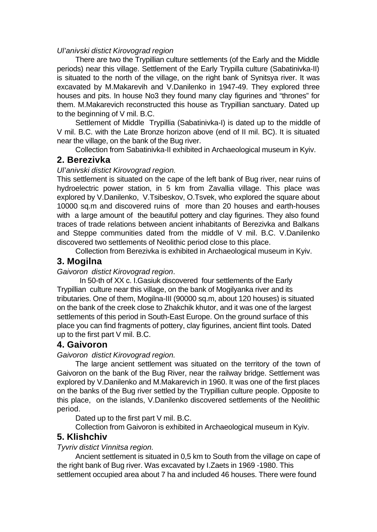#### *Ul'anivski distict Kirovograd region*

There are two the Trypillian culture settlements (of the Early and the Middle periods) near this village. Settlement of the Early Trypilla culture (Sabatinivka-II) is situated to the north of the village, on the right bank of Synitsya river. It was excavated by M.Makarevih and V.Danilenko in 1947-49. They explored three houses and pits. In house No3 they found many clay figurines and "thrones" for them. M.Makarevich reconstructed this house as Trypillian sanctuary. Dated up to the beginning of V mil. B.C.

Settlement of Middle Trypillia (Sabatinivka-I) is dated up to the middle of V mil. B.C. with the Late Bronze horizon above (end of II mil. BC). It is situated near the village, on the bank of the Bug river.

Collection from Sabatinivka-II exhibited in Archaeological museum in Kyiv.

#### **2. Berezivka**

#### *Ul'anivski distict Kirovograd region.*

This settlement is situated on the cape of the left bank of Bug river, near ruins of hydroelectric power station, in 5 km from Zavallia village. This place was explored by V.Danilenko, V.Tsibeskov, O.Tsvek, who explored the square about 10000 sq.m and discovered ruins of more than 20 houses and earth-houses with a large amount of the beautiful pottery and clay figurines. They also found traces of trade relations between ancient inhabitants of Berezivka and Balkans and Steppe communities dated from the middle of V mil. B.C. V.Danilenko discovered two settlements of Neolithic period close to this place.

Collection from Berezivka is exhibited in Archaeological museum in Kyiv.

## **3. Mogilna**

#### *Gaivoron distict Kirovograd region*.

In 50-th of XX c. I.Gasiuk discovered four settlements of the Early Trypillian culture near this village, on the bank of Mogilyanka river and its tributaries. One of them, Mogilna-III (90000 sq.m, about 120 houses) is situated on the bank of the creek close to Zhakchik khutor, and it was one of the largest settlements of this period in South-East Europe. On the ground surface of this place you can find fragments of pottery, clay figurines, ancient flint tools. Dated up to the first part V mil. B.C.

#### **4. Gaivoron**

#### *Gaivoron distict Kirovograd region.*

The large ancient settlement was situated on the territory of the town of Gaivoron on the bank of the Bug River, near the railway bridge. Settlement was explored by V.Danilenko and M.Makarevich in 1960. It was one of the first places on the banks of the Bug river settled by the Trypillian culture people. Opposite to this place, on the islands, V.Danilenko discovered settlements of the Neolithic period.

Dated up to the first part V mil. B.C.

Collection from Gaivoron is exhibited in Archaeological museum in Kyiv.

#### **5. Klishchiv**

#### *Tyvriv distict Vinnitsa region.*

Ancient settlement is situated in 0,5 km to South from the village on cape of the right bank of Bug river. Was excavated by I.Zaets in 1969 -1980. This settlement occupied area about 7 ha and included 46 houses. There were found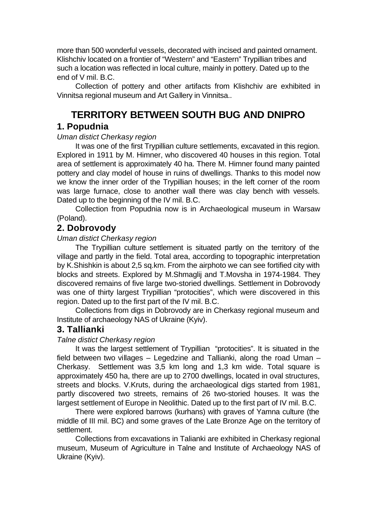more than 500 wonderful vessels, decorated with incised and painted ornament. Klishchiv located on a frontier of "Western" and "Eastern" Trypillian tribes and such a location was reflected in local culture, mainly in pottery. Dated up to the end of V mil. B.C.

Collection of pottery and other artifacts from Klishchiv are exhibited in Vinnitsa regional museum and Art Gallery in Vinnitsa..

# **TERRITORY BETWEEN SOUTH BUG AND DNIPRO**

#### **1. Popudnia**

#### *Uman distict Cherkasy region*

It was one of the first Trypillian culture settlements, excavated in this region. Explored in 1911 by M. Himner, who discovered 40 houses in this region. Total area of settlement is approximately 40 ha. There M. Himner found many painted pottery and clay model of house in ruins of dwellings. Thanks to this model now we know the inner order of the Trypillian houses; in the left corner of the room was large furnace, close to another wall there was clay bench with vessels. Dated up to the beginning of the IV mil. B.C.

Collection from Popudnia now is in Archaeological museum in Warsaw (Poland).

## **2. Dobrovody**

#### *Uman distict Cherkasy region*

The Trypillian culture settlement is situated partly on the territory of the village and partly in the field. Total area, according to topographic interpretation by K.Shishkin is about 2,5 sq.km. From the airphoto we can see fortified city with blocks and streets. Explored by M.Shmaglij and T.Movsha in 1974-1984. They discovered remains of five large two-storied dwellings. Settlement in Dobrovody was one of thirty largest Trypillian "protocities", which were discovered in this region. Dated up to the first part of the IV mil. B.C.

Collections from digs in Dobrovody are in Cherkasy regional museum and Institute of archaeology NAS of Ukraine (Kyiv).

## **3. Tallianki**

#### *Talne distict Cherkasy region*

It was the largest settlement of Trypillian "protocities". It is situated in the field between two villages – Legedzine and Tallianki, along the road Uman – Cherkasy. Settlement was 3,5 km long and 1,3 km wide. Total square is approximately 450 ha, there are up to 2700 dwellings, located in oval structures, streets and blocks. V.Kruts, during the archaeological digs started from 1981, partly discovered two streets, remains of 26 two-storied houses. It was the largest settlement of Europe in Neolithic. Dated up to the first part of IV mil. B.C.

There were explored barrows (kurhans) with graves of Yamna culture (the middle of III mil. BC) and some graves of the Late Bronze Age on the territory of settlement.

Collections from excavations in Talianki are exhibited in Cherkasy regional museum, Museum of Agriculture in Talne and Institute of Archaeology NAS of Ukraine (Kyiv).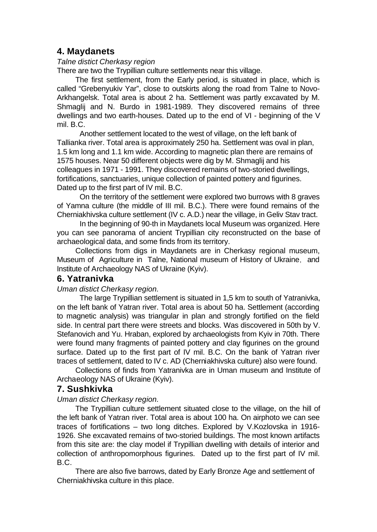## **4. Maydanets**

#### *Talne distict Cherkasy region*

There are two the Trypillian culture settlements near this village.

The first settlement, from the Early period, is situated in place, which is called "Grebenyukiv Yar", close to outskirts along the road from Talne to Novo-Arkhangelsk. Total area is about 2 ha. Settlement was partly excavated by M. Shmaglij and N. Burdo in 1981-1989. They discovered remains of three dwellings and two earth-houses. Dated up to the end of VI - beginning of the V mil. B.C.

Another settlement located to the west of village, on the left bank of Tallianka river. Total area is approximately 250 ha. Settlement was oval in plan, 1.5 km long and 1.1 km wide. According to magnetic plan there are remains of 1575 houses. Near 50 different objects were dig by M. Shmaglij and his colleagues in 1971 - 1991. They discovered remains of two-storied dwellings, fortifications, sanctuaries, unique collection of painted pottery and figurines. Dated up to the first part of IV mil. B.C.

On the territory of the settlement were explored two burrows with 8 graves of Yamna culture (the middle of III mil. B.C.). There were found remains of the Cherniakhivska culture settlement (IV c. A.D.) near the village, in Geliv Stav tract.

In the beginning of 90-th in Maydanets local Museum was organized. Here you can see panorama of ancient Trypillian city reconstructed on the base of archaeological data, and some finds from its territory.

Collections from digs in Maydanets are in Cherkasy regional museum, Museum of Agriculture in Talne, National museum of History of Ukraine, and Institute of Archaeology NAS of Ukraine (Kyiv).

#### **6. Yatranivka**

#### *Uman distict Cherkasy region.*

The large Trypillian settlement is situated in 1,5 km to south of Yatranivka, on the left bank of Yatran river. Total area is about 50 ha. Settlement (according to magnetic analysis) was triangular in plan and strongly fortified on the field side. In central part there were streets and blocks. Was discovered in 50th by V. Stefanovich and Yu. Hraban, explored by archaeologists from Kyiv in 70th. There were found many fragments of painted pottery and clay figurines on the ground surface. Dated up to the first part of IV mil. B.C. On the bank of Yatran river traces of settlement, dated to IV c. AD (Cherniakhivska culture) also were found.

Collections of finds from Yatranivka are in Uman museum and Institute of Archaeology NAS of Ukraine (Kyiv).

#### **7. Sushkivka**

#### *Uman distict Cherkasy region.*

The Trypillian culture settlement situated close to the village, on the hill of the left bank of Yatran river. Total area is about 100 ha. On airphoto we can see traces of fortifications – two long ditches. Explored by V.Kozlovska in 1916- 1926. She excavated remains of two-storied buildings. The most known artifacts from this site are: the clay model if Trypillian dwelling with details of interior and collection of anthropomorphous figurines. Dated up to the first part of IV mil. B.C.

There are also five barrows, dated by Early Bronze Age and settlement of Cherniakhivska culture in this place.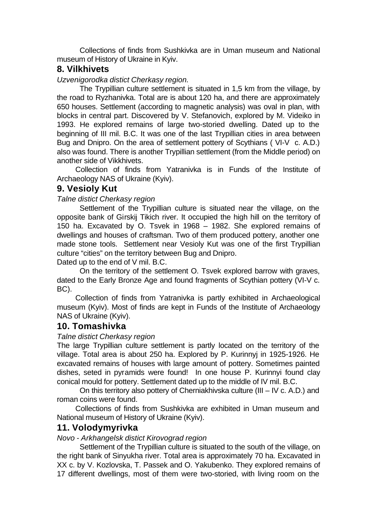Collections of finds from Sushkivka are in Uman museum and National museum of History of Ukraine in Kyiv.

## **8. Vilkhivets**

*Uzvenigorodka distict Cherkasy region.*

The Trypillian culture settlement is situated in 1,5 km from the village, by the road to Ryzhanivka. Total are is about 120 ha, and there are approximately 650 houses. Settlement (according to magnetic analysis) was oval in plan, with blocks in central part. Discovered by V. Stefanovich, explored by M. Videiko in 1993. He explored remains of large two-storied dwelling. Dated up to the beginning of III mil. B.C. It was one of the last Trypillian cities in area between Bug and Dnipro. On the area of settlement pottery of Scythians ( VI-V c. A.D.) also was found. There is another Trypillian settlement (from the Middle period) on another side of Vikkhivets.

Collection of finds from Yatranivka is in Funds of the Institute of Archaeology NAS of Ukraine (Kyiv).

## **9. Vesioly Kut**

*Talne distict Cherkasy region*

Settlement of the Trypillian culture is situated near the village, on the opposite bank of Girskij Tikich river. It occupied the high hill on the territory of 150 ha. Excavated by O. Tsvek in 1968 – 1982. She explored remains of dwellings and houses of craftsman. Two of them produced pottery, another one made stone tools. Settlement near Vesioly Kut was one of the first Trypillian culture "cities" on the territory between Bug and Dnipro.

Dated up to the end of V mil. B.C.

On the territory of the settlement O. Tsvek explored barrow with graves, dated to the Early Bronze Age and found fragments of Scythian pottery (VI-V c. BC).

Collection of finds from Yatranivka is partly exhibited in Archaeological museum (Kyiv). Most of finds are kept in Funds of the Institute of Archaeology NAS of Ukraine (Kyiv).

#### **10. Tomashivka**

#### *Talne distict Cherkasy region*

The large Trypillian culture settlement is partly located on the territory of the village. Total area is about 250 ha. Explored by P. Kurinnyj in 1925-1926. He excavated remains of houses with large amount of pottery. Sometimes painted dishes, seted in pyramids were found! In one house P. Kurinnyi found clay conical mould for pottery. Settlement dated up to the middle of IV mil. B.C.

On this territory also pottery of Cherniakhivska culture (III – IV c. A.D.) and roman coins were found.

Collections of finds from Sushkivka are exhibited in Uman museum and National museum of History of Ukraine (Kyiv).

## **11. Volodymyrivka**

*Novo - Arkhangelsk distict Kirovograd region*

Settlement of the Trypillian culture is situated to the south of the village, on the right bank of Sinyukha river. Total area is approximately 70 ha. Excavated in XX c. by V. Kozlovska, T. Passek and O. Yakubenko. They explored remains of 17 different dwellings, most of them were two-storied, with living room on the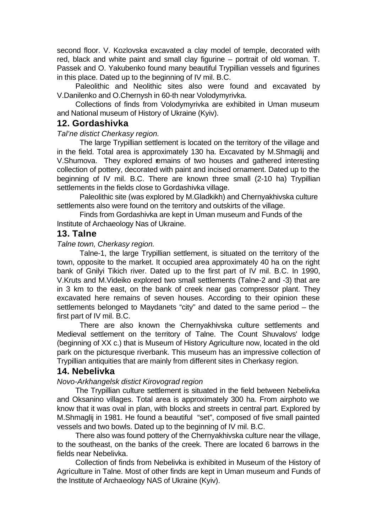second floor. V. Kozlovska excavated a clay model of temple, decorated with red, black and white paint and small clay figurine – portrait of old woman. T. Passek and O. Yakubenko found many beautiful Trypillian vessels and figurines in this place. Dated up to the beginning of IV mil. B.C.

Paleolithic and Neolithic sites also were found and excavated by V.Danilenko and O.Chernysh in 60-th near Volodymyrivka.

Collections of finds from Volodymyrivka are exhibited in Uman museum and National museum of History of Ukraine (Kyiv).

#### **12. Gordashivka**

*Tal'ne distict Cherkasy region.*

The large Trypillian settlement is located on the territory of the village and in the field. Total area is approximately 130 ha. Excavated by M.Shmaglij and V.Shumova. They explored remains of two houses and gathered interesting collection of pottery, decorated with paint and incised ornament. Dated up to the beginning of IV mil. B.C. There are known three small (2-10 ha) Trypillian settlements in the fields close to Gordashivka village.

Paleolithic site (was explored by M.Gladkikh) and Chernyakhivska culture settlements also were found on the territory and outskirts of the village.

Finds from Gordashivka are kept in Uman museum and Funds of the Institute of Archaeology Nas of Ukraine.

#### **13. Talne**

*Talne town, Cherkasy region.*

Talne-1, the large Trypillian settlement, is situated on the territory of the town, opposite to the market. It occupied area approximately 40 ha on the right bank of Gnilyi Tikich river. Dated up to the first part of IV mil. B.C. In 1990, V.Kruts and M.Videiko explored two small settlements (Talne-2 and -3) that are in 3 km to the east, on the bank of creek near gas compressor plant. They excavated here remains of seven houses. According to their opinion these settlements belonged to Maydanets "city" and dated to the same period – the first part of IV mil. B.C.

There are also known the Chernyakhivska culture settlements and Medieval settlement on the territory of Talne. The Count Shuvalovs' lodge (beginning of XX c.) that is Museum of History Agriculture now, located in the old park on the picturesque riverbank. This museum has an impressive collection of Trypillian antiquities that are mainly from different sites in Cherkasy region.

#### **14. Nebelivka**

#### *Novo-Arkhangelsk distict Kirovograd region*

The Trypillian culture settlement is situated in the field between Nebelivka and Oksanino villages. Total area is approximately 300 ha. From airphoto we know that it was oval in plan, with blocks and streets in central part. Explored by M.Shmaglij in 1981. He found a beautiful "set", composed of five small painted vessels and two bowls. Dated up to the beginning of IV mil. B.C.

There also was found pottery of the Chernyakhivska culture near the village, to the southeast, on the banks of the creek. There are located 6 barrows in the fields near Nebelivka.

Collection of finds from Nebelivka is exhibited in Museum of the History of Agriculture in Talne. Most of other finds are kept in Uman museum and Funds of the Institute of Archaeology NAS of Ukraine (Kyiv).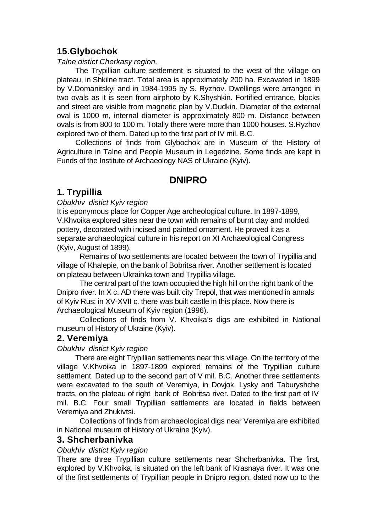## **15.Glybochok**

#### *Talne distict Cherkasy region.*

The Trypillian culture settlement is situated to the west of the village on plateau, in Shkilne tract. Total area is approximately 200 ha. Excavated in 1899 by V.Domanitskyi and in 1984-1995 by S. Ryzhov. Dwellings were arranged in two ovals as it is seen from airphoto by K.Shyshkin. Fortified entrance, blocks and street are visible from magnetic plan by V.Dudkin. Diameter of the external oval is 1000 m, internal diameter is approximately 800 m. Distance between ovals is from 800 to 100 m. Totally there were more than 1000 houses. S.Ryzhov explored two of them. Dated up to the first part of IV mil. B.C.

Collections of finds from Glybochok are in Museum of the History of Agriculture in Talne and People Museum in Legedzine. Some finds are kept in Funds of the Institute of Archaeology NAS of Ukraine (Kyiv).

## **DNIPRO**

## **1. Trypillia**

#### *Obukhiv distict Kyiv region*

It is eponymous place for Copper Age archeological culture. In 1897-1899, V.Khvoika explored sites near the town with remains of burnt clay and molded pottery, decorated with incised and painted ornament. He proved it as a separate archaeological culture in his report on XI Archaeological Congress (Kyiv, August of 1899).

Remains of two settlements are located between the town of Trypillia and village of Khalepie, on the bank of Bobritsa river. Another settlement is located on plateau between Ukrainka town and Trypillia village.

The central part of the town occupied the high hill on the right bank of the Dnipro river. In X c. AD there was built city Trepol, that was mentioned in annals of Kyiv Rus; in XV-XVII c. there was built castle in this place. Now there is Archaeological Museum of Kyiv region (1996).

Collections of finds from V. Khvoika's digs are exhibited in National museum of History of Ukraine (Kyiv).

## **2. Veremiya**

#### *Obukhiv distict Kyiv region*

There are eight Trypillian settlements near this village. On the territory of the village V.Khvoika in 1897-1899 explored remains of the Trypillian culture settlement. Dated up to the second part of V mil. B.C. Another three settlements were excavated to the south of Veremiya, in Dovjok, Lysky and Taburyshche tracts, on the plateau of right bank of Bobritsa river. Dated to the first part of IV mil. B.C. Four small Trypillian settlements are located in fields between Veremiya and Zhukivtsi.

Collections of finds from archaeological digs near Veremiya are exhibited in National museum of History of Ukraine (Kyiv).

#### **3. Shcherbanivka**

#### *Obukhiv distict Kyiv region*

There are three Trypillian culture settlements near Shcherbanivka. The first, explored by V.Khvoika, is situated on the left bank of Krasnaya river. It was one of the first settlements of Trypillian people in Dnipro region, dated now up to the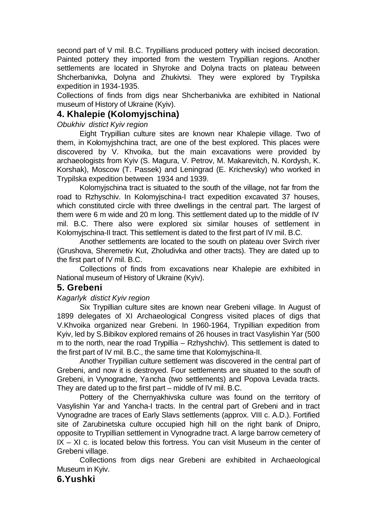second part of V mil. B.C. Trypillians produced pottery with incised decoration. Painted pottery they imported from the western Trypillian regions. Another settlements are located in Shyroke and Dolyna tracts on plateau between Shcherbanivka, Dolyna and Zhukivtsi. They were explored by Trypilska expedition in 1934-1935.

Collections of finds from digs near Shcherbanivka are exhibited in National museum of History of Ukraine (Kyiv).

## **4. Khalepie (Kolomyjschina)**

#### *Obukhiv distict Kyiv region*

Eight Trypillian culture sites are known near Khalepie village. Two of them, in Kolomyjshchina tract, are one of the best explored. This places were discovered by V. Khvoika, but the main excavations were provided by archaeologists from Kyiv (S. Magura, V. Petrov, M. Makarevitch, N. Kordysh, K. Korshak), Moscow (T. Passek) and Leningrad (E. Krichevsky) who worked in Trypilska expedition between 1934 and 1939.

Kolomyjschina tract is situated to the south of the village, not far from the road to Rzhyschiv. In Kolomyjschina-I tract expedition excavated 37 houses, which constituted circle with three dwellings in the central part. The largest of them were 6 m wide and 20 m long. This settlement dated up to the middle of IV mil. B.C. There also were explored six similar houses of settlement in Kolomyjschina-II tract. This settlement is dated to the first part of IV mil. B.C.

Another settlements are located to the south on plateau over Svirch river (Grushova, Sheremetiv Kut, Zholudivka and other tracts). They are dated up to the first part of IV mil. B.C.

Collections of finds from excavations near Khalepie are exhibited in National museum of History of Ukraine (Kyiv).

#### **5. Grebeni**

#### *Kagarlyk distict Kyiv region*

Six Trypillian culture sites are known near Grebeni village. In August of 1899 delegates of XI Archaeological Congress visited places of digs that V.Khvoika organized near Grebeni. In 1960-1964, Trypillian expedition from Kyiv, led by S.Bibikov explored remains of 26 houses in tract Vasylishin Yar (500 m to the north, near the road Trypillia – Rzhyshchiv). This settlement is dated to the first part of IV mil. B.C., the same time that Kolomyjschina-II.

Another Trypillian culture settlement was discovered in the central part of Grebeni, and now it is destroyed. Four settlements are situated to the south of Grebeni, in Vynogradne, Yancha (two settlements) and Popova Levada tracts. They are dated up to the first part – middle of IV mil. B.C.

Pottery of the Chernyakhivska culture was found on the territory of Vasylishin Yar and Yancha-I tracts. In the central part of Grebeni and in tract Vynogradne are traces of Early Slavs settlements (approx. VIII c. A.D.). Fortified site of Zarubinetska culture occupied high hill on the right bank of Dnipro, opposite to Trypillian settlement in Vynogradne tract. A large barrow cemetery of IX – XI c. is located below this fortress. You can visit Museum in the center of Grebeni village.

Collections from digs near Grebeni are exhibited in Archaeological Museum in Kyiv.

#### **6.Yushki**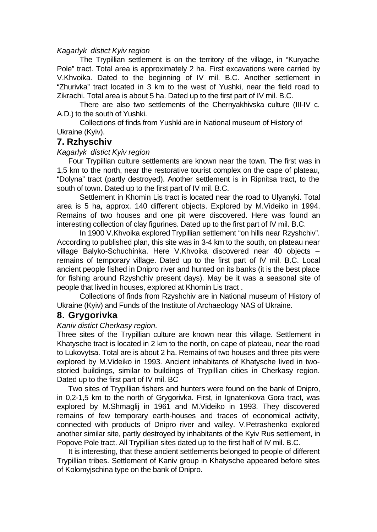#### *Kagarlyk distict Kyiv region*

The Trypillian settlement is on the territory of the village, in "Kuryache Pole" tract. Total area is approximately 2 ha. First excavations were carried by V.Khvoika. Dated to the beginning of IV mil. B.C. Another settlement in "Zhurivka" tract located in 3 km to the west of Yushki, near the field road to Zikrachi. Total area is about 5 ha. Dated up to the first part of IV mil. B.C.

There are also two settlements of the Chernyakhivska culture (III-IV c. A.D.) to the south of Yushki.

Collections of finds from Yushki are in National museum of History of Ukraine (Kyiv).

#### **7. Rzhyschiv**

#### *Kagarlyk distict Kyiv region*

Four Trypillian culture settlements are known near the town. The first was in 1,5 km to the north, near the restorative tourist complex on the cape of plateau, "Dolyna" tract (partly destroyed). Another settlement is in Ripnitsa tract, to the south of town. Dated up to the first part of IV mil. B.C.

Settlement in Khomin Lis tract is located near the road to Ulyanyki. Total area is 5 ha, approx. 140 different objects. Explored by M.Videiko in 1994. Remains of two houses and one pit were discovered. Here was found an interesting collection of clay figurines. Dated up to the first part of IV mil. B.C.

In 1900 V.Khvoika explored Trypillian settlement "on hills near Rzyshchiv". According to published plan, this site was in 3-4 km to the south, on plateau near village Balyko-Schuchinka. Here V.Khvoika discovered near 40 objects – remains of temporary village. Dated up to the first part of IV mil. B.C. Local ancient people fished in Dnipro river and hunted on its banks (it is the best place for fishing around Rzyshchiv present days). May be it was a seasonal site of people that lived in houses, explored at Khomin Lis tract .

Collections of finds from Rzyshchiv are in National museum of History of Ukraine (Kyiv) and Funds of the Institute of Archaeology NAS of Ukraine.

#### **8. Grygorivka**

#### *Kaniv distict Cherkasy region.*

Three sites of the Trypillian culture are known near this village. Settlement in Khatysche tract is located in 2 km to the north, on cape of plateau, near the road to Lukovytsa. Total are is about 2 ha. Remains of two houses and three pits were explored by M.Videiko in 1993. Ancient inhabitants of Khatysche lived in twostoried buildings, similar to buildings of Trypillian cities in Cherkasy region. Dated up to the first part of IV mil. BC

Two sites of Trypillian fishers and hunters were found on the bank of Dnipro, in 0,2-1,5 km to the north of Grygorivka. First, in Ignatenkova Gora tract, was explored by M.Shmaglij in 1961 and M.Videiko in 1993. They discovered remains of few temporary earth-houses and traces of economical activity, connected with products of Dnipro river and valley. V.Petrashenko explored another similar site, partly destroyed by inhabitants of the Kyiv Rus settlement, in Popove Pole tract. All Trypillian sites dated up to the first half of IV mil. B.C.

It is interesting, that these ancient settlements belonged to people of different Trypillian tribes. Settlement of Kaniv group in Khatysche appeared before sites of Kolomyjschina type on the bank of Dnipro.